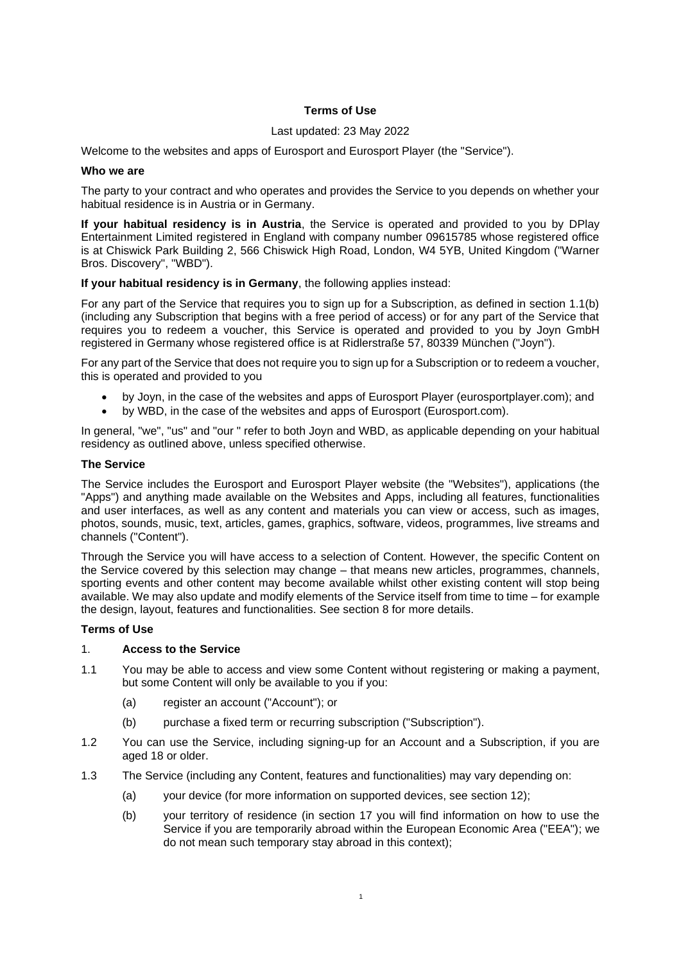# **Terms of Use**

#### Last updated: 23 May 2022

Welcome to the websites and apps of Eurosport and Eurosport Player (the "Service").

### **Who we are**

The party to your contract and who operates and provides the Service to you depends on whether your habitual residence is in Austria or in Germany.

**If your habitual residency is in Austria**, the Service is operated and provided to you by DPlay Entertainment Limited registered in England with company number 09615785 whose registered office is at Chiswick Park Building 2, 566 Chiswick High Road, London, W4 5YB, United Kingdom ("Warner Bros. Discovery", "WBD").

# **If your habitual residency is in Germany**, the following applies instead:

For any part of the Service that requires you to sign up for a Subscription, as defined in section 1.1(b) (including any Subscription that begins with a free period of access) or for any part of the Service that requires you to redeem a voucher, this Service is operated and provided to you by Joyn GmbH registered in Germany whose registered office is at Ridlerstraße 57, 80339 München ("Joyn").

For any part of the Service that does not require you to sign up for a Subscription or to redeem a voucher, this is operated and provided to you

- by Joyn, in the case of the websites and apps of Eurosport Player (eurosportplayer.com); and
- by WBD, in the case of the websites and apps of Eurosport (Eurosport.com).

In general, "we", "us" and "our " refer to both Joyn and WBD, as applicable depending on your habitual residency as outlined above, unless specified otherwise.

#### **The Service**

The Service includes the Eurosport and Eurosport Player website (the "Websites"), applications (the "Apps") and anything made available on the Websites and Apps, including all features, functionalities and user interfaces, as well as any content and materials you can view or access, such as images, photos, sounds, music, text, articles, games, graphics, software, videos, programmes, live streams and channels ("Content").

Through the Service you will have access to a selection of Content. However, the specific Content on the Service covered by this selection may change – that means new articles, programmes, channels, sporting events and other content may become available whilst other existing content will stop being available. We may also update and modify elements of the Service itself from time to time – for example the design, layout, features and functionalities. See section 8 for more details.

#### **Terms of Use**

## 1. **Access to the Service**

- 1.1 You may be able to access and view some Content without registering or making a payment, but some Content will only be available to you if you:
	- (a) register an account ("Account"); or
	- (b) purchase a fixed term or recurring subscription ("Subscription").
- 1.2 You can use the Service, including signing-up for an Account and a Subscription, if you are aged 18 or older.
- 1.3 The Service (including any Content, features and functionalities) may vary depending on:
	- (a) your device (for more information on supported devices, see section 12);
	- (b) your territory of residence (in section 17 you will find information on how to use the Service if you are temporarily abroad within the European Economic Area ("EEA"); we do not mean such temporary stay abroad in this context);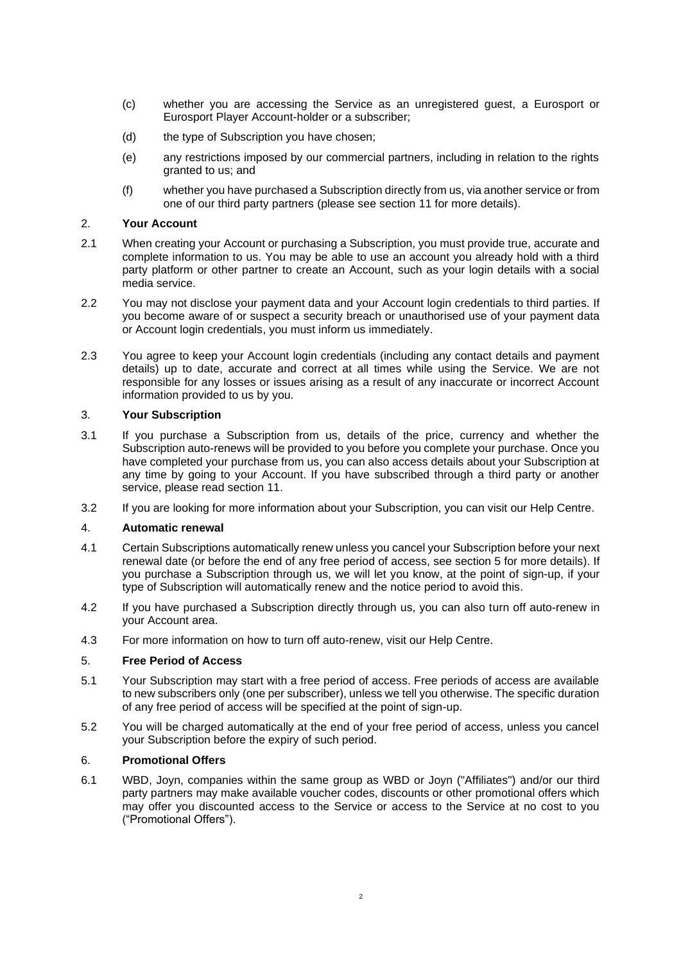- (c) whether you are accessing the Service as an unregistered guest, a Eurosport or Eurosport Player Account-holder or a subscriber;
- (d) the type of Subscription you have chosen;
- (e) any restrictions imposed by our commercial partners, including in relation to the rights granted to us; and
- (f) whether you have purchased a Subscription directly from us, via another service or from one of our third party partners (please see section 11 for more details).

## 2. **Your Account**

- 2.1 When creating your Account or purchasing a Subscription, you must provide true, accurate and complete information to us. You may be able to use an account you already hold with a third party platform or other partner to create an Account, such as your login details with a social media service.
- 2.2 You may not disclose your payment data and your Account login credentials to third parties. If you become aware of or suspect a security breach or unauthorised use of your payment data or Account login credentials, you must inform us immediately.
- 2.3 You agree to keep your Account login credentials (including any contact details and payment details) up to date, accurate and correct at all times while using the Service. We are not responsible for any losses or issues arising as a result of any inaccurate or incorrect Account information provided to us by you.

# 3. **Your Subscription**

- 3.1 If you purchase a Subscription from us, details of the price, currency and whether the Subscription auto-renews will be provided to you before you complete your purchase. Once you have completed your purchase from us, you can also access details about your Subscription at any time by going to your Account. If you have subscribed through a third party or another service, please read section 11.
- 3.2 If you are looking for more information about your Subscription, you can visit our Help Centre.

# 4. **Automatic renewal**

- 4.1 Certain Subscriptions automatically renew unless you cancel your Subscription before your next renewal date (or before the end of any free period of access, see section 5 for more details). If you purchase a Subscription through us, we will let you know, at the point of sign-up, if your type of Subscription will automatically renew and the notice period to avoid this.
- 4.2 If you have purchased a Subscription directly through us, you can also turn off auto-renew in your Account area.
- 4.3 For more information on how to turn off auto-renew, visit our Help Centre.

# 5. **Free Period of Access**

- 5.1 Your Subscription may start with a free period of access. Free periods of access are available to new subscribers only (one per subscriber), unless we tell you otherwise. The specific duration of any free period of access will be specified at the point of sign-up.
- 5.2 You will be charged automatically at the end of your free period of access, unless you cancel your Subscription before the expiry of such period.

# 6. **Promotional Offers**

6.1 WBD, Joyn, companies within the same group as WBD or Joyn ("Affiliates") and/or our third party partners may make available voucher codes, discounts or other promotional offers which may offer you discounted access to the Service or access to the Service at no cost to you ("Promotional Offers").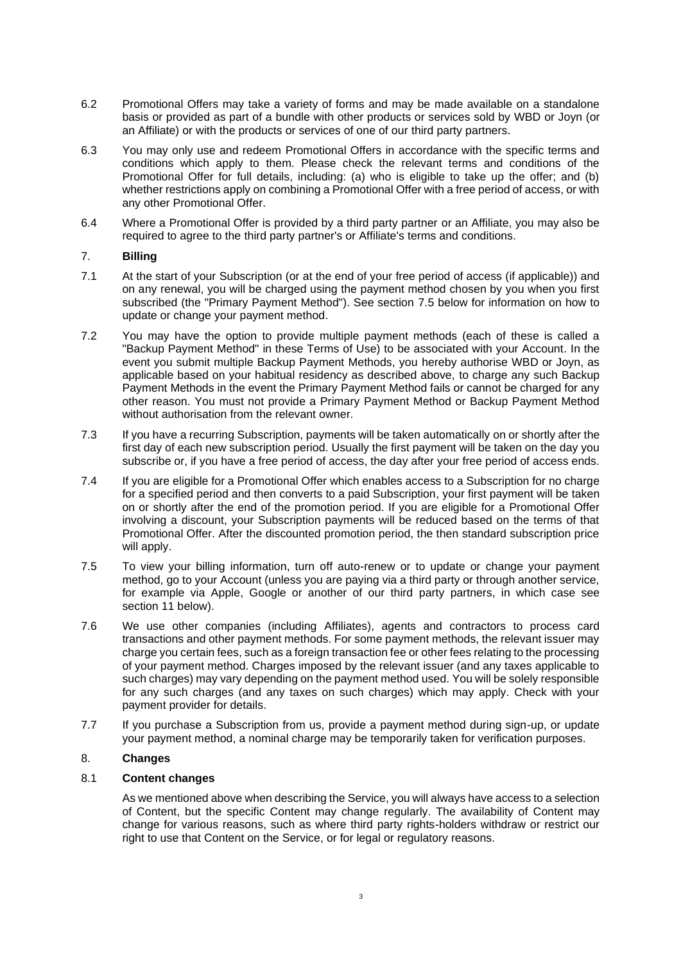- 6.2 Promotional Offers may take a variety of forms and may be made available on a standalone basis or provided as part of a bundle with other products or services sold by WBD or Joyn (or an Affiliate) or with the products or services of one of our third party partners.
- 6.3 You may only use and redeem Promotional Offers in accordance with the specific terms and conditions which apply to them. Please check the relevant terms and conditions of the Promotional Offer for full details, including: (a) who is eligible to take up the offer; and (b) whether restrictions apply on combining a Promotional Offer with a free period of access, or with any other Promotional Offer.
- 6.4 Where a Promotional Offer is provided by a third party partner or an Affiliate, you may also be required to agree to the third party partner's or Affiliate's terms and conditions.

## 7. **Billing**

- 7.1 At the start of your Subscription (or at the end of your free period of access (if applicable)) and on any renewal, you will be charged using the payment method chosen by you when you first subscribed (the "Primary Payment Method"). See section 7.5 below for information on how to update or change your payment method.
- 7.2 You may have the option to provide multiple payment methods (each of these is called a "Backup Payment Method" in these Terms of Use) to be associated with your Account. In the event you submit multiple Backup Payment Methods, you hereby authorise WBD or Joyn, as applicable based on your habitual residency as described above, to charge any such Backup Payment Methods in the event the Primary Payment Method fails or cannot be charged for any other reason. You must not provide a Primary Payment Method or Backup Payment Method without authorisation from the relevant owner.
- 7.3 If you have a recurring Subscription, payments will be taken automatically on or shortly after the first day of each new subscription period. Usually the first payment will be taken on the day you subscribe or, if you have a free period of access, the day after your free period of access ends.
- 7.4 If you are eligible for a Promotional Offer which enables access to a Subscription for no charge for a specified period and then converts to a paid Subscription, your first payment will be taken on or shortly after the end of the promotion period. If you are eligible for a Promotional Offer involving a discount, your Subscription payments will be reduced based on the terms of that Promotional Offer. After the discounted promotion period, the then standard subscription price will apply.
- 7.5 To view your billing information, turn off auto-renew or to update or change your payment method, go to your Account (unless you are paying via a third party or through another service, for example via Apple, Google or another of our third party partners, in which case see section 11 below).
- 7.6 We use other companies (including Affiliates), agents and contractors to process card transactions and other payment methods. For some payment methods, the relevant issuer may charge you certain fees, such as a foreign transaction fee or other fees relating to the processing of your payment method. Charges imposed by the relevant issuer (and any taxes applicable to such charges) may vary depending on the payment method used. You will be solely responsible for any such charges (and any taxes on such charges) which may apply. Check with your payment provider for details.
- 7.7 If you purchase a Subscription from us, provide a payment method during sign-up, or update your payment method, a nominal charge may be temporarily taken for verification purposes.

#### 8. **Changes**

#### 8.1 **Content changes**

As we mentioned above when describing the Service, you will always have access to a selection of Content, but the specific Content may change regularly. The availability of Content may change for various reasons, such as where third party rights-holders withdraw or restrict our right to use that Content on the Service, or for legal or regulatory reasons.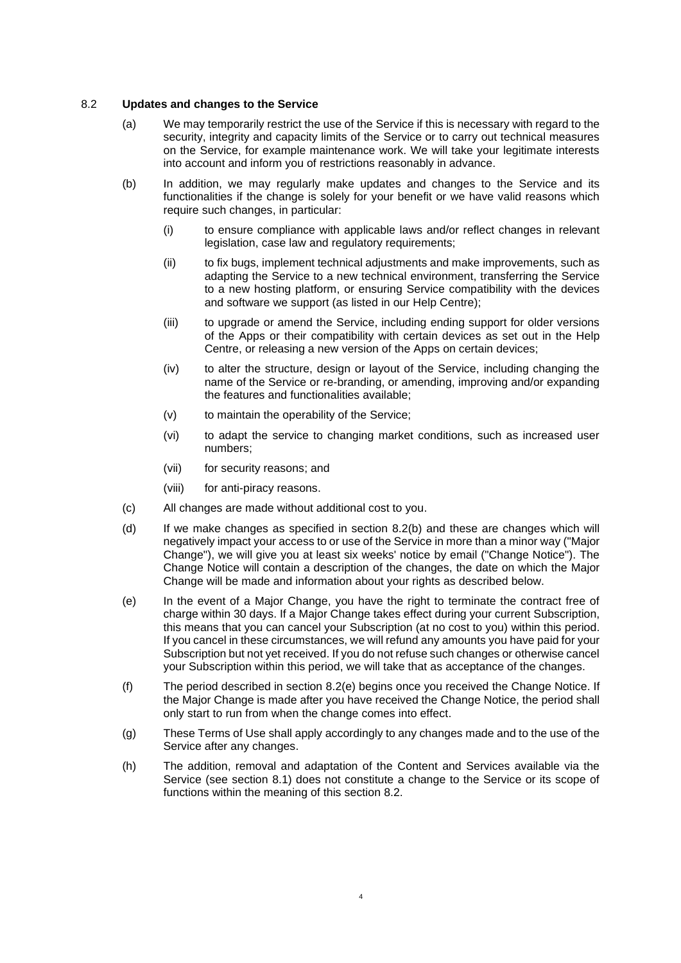## 8.2 **Updates and changes to the Service**

- (a) We may temporarily restrict the use of the Service if this is necessary with regard to the security, integrity and capacity limits of the Service or to carry out technical measures on the Service, for example maintenance work. We will take your legitimate interests into account and inform you of restrictions reasonably in advance.
- (b) In addition, we may regularly make updates and changes to the Service and its functionalities if the change is solely for your benefit or we have valid reasons which require such changes, in particular:
	- (i) to ensure compliance with applicable laws and/or reflect changes in relevant legislation, case law and regulatory requirements;
	- (ii) to fix bugs, implement technical adjustments and make improvements, such as adapting the Service to a new technical environment, transferring the Service to a new hosting platform, or ensuring Service compatibility with the devices and software we support (as listed in our Help Centre);
	- (iii) to upgrade or amend the Service, including ending support for older versions of the Apps or their compatibility with certain devices as set out in the Help Centre, or releasing a new version of the Apps on certain devices;
	- (iv) to alter the structure, design or layout of the Service, including changing the name of the Service or re-branding, or amending, improving and/or expanding the features and functionalities available;
	- (v) to maintain the operability of the Service;
	- (vi) to adapt the service to changing market conditions, such as increased user numbers;
	- (vii) for security reasons; and
	- (viii) for anti-piracy reasons.
- (c) All changes are made without additional cost to you.
- (d) If we make changes as specified in section 8.2(b) and these are changes which will negatively impact your access to or use of the Service in more than a minor way ("Major Change"), we will give you at least six weeks' notice by email ("Change Notice"). The Change Notice will contain a description of the changes, the date on which the Major Change will be made and information about your rights as described below.
- (e) In the event of a Major Change, you have the right to terminate the contract free of charge within 30 days. If a Major Change takes effect during your current Subscription, this means that you can cancel your Subscription (at no cost to you) within this period. If you cancel in these circumstances, we will refund any amounts you have paid for your Subscription but not yet received. If you do not refuse such changes or otherwise cancel your Subscription within this period, we will take that as acceptance of the changes.
- (f) The period described in section 8.2(e) begins once you received the Change Notice. If the Major Change is made after you have received the Change Notice, the period shall only start to run from when the change comes into effect.
- (g) These Terms of Use shall apply accordingly to any changes made and to the use of the Service after any changes.
- (h) The addition, removal and adaptation of the Content and Services available via the Service (see section 8.1) does not constitute a change to the Service or its scope of functions within the meaning of this section 8.2.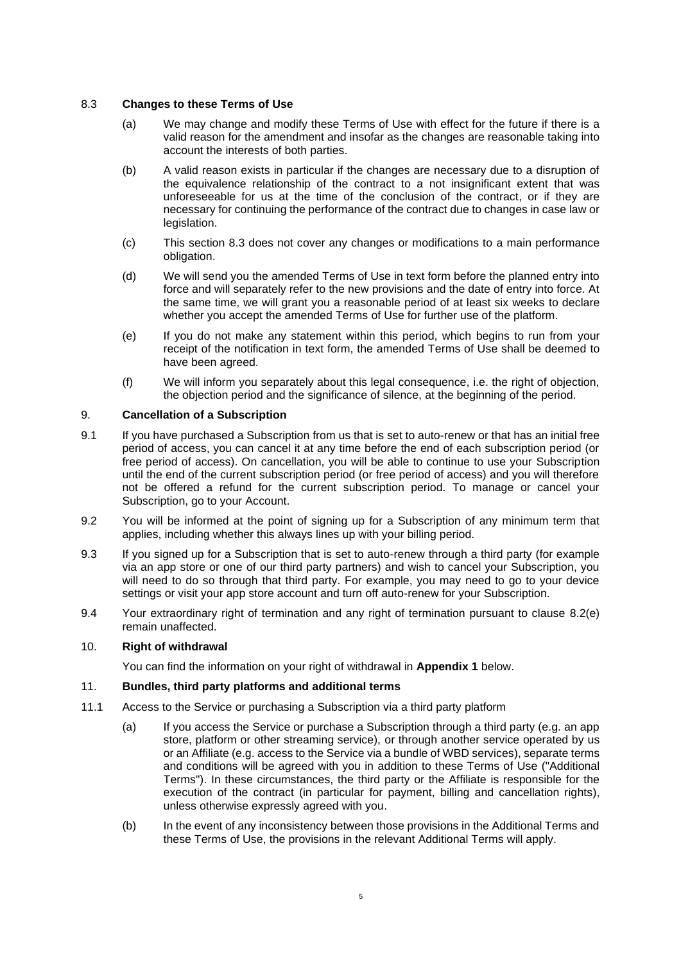## 8.3 **Changes to these Terms of Use**

- (a) We may change and modify these Terms of Use with effect for the future if there is a valid reason for the amendment and insofar as the changes are reasonable taking into account the interests of both parties.
- (b) A valid reason exists in particular if the changes are necessary due to a disruption of the equivalence relationship of the contract to a not insignificant extent that was unforeseeable for us at the time of the conclusion of the contract, or if they are necessary for continuing the performance of the contract due to changes in case law or legislation.
- (c) This section 8.3 does not cover any changes or modifications to a main performance obligation.
- (d) We will send you the amended Terms of Use in text form before the planned entry into force and will separately refer to the new provisions and the date of entry into force. At the same time, we will grant you a reasonable period of at least six weeks to declare whether you accept the amended Terms of Use for further use of the platform.
- (e) If you do not make any statement within this period, which begins to run from your receipt of the notification in text form, the amended Terms of Use shall be deemed to have been agreed.
- (f) We will inform you separately about this legal consequence, i.e. the right of objection, the objection period and the significance of silence, at the beginning of the period.

## 9. **Cancellation of a Subscription**

- 9.1 If you have purchased a Subscription from us that is set to auto-renew or that has an initial free period of access, you can cancel it at any time before the end of each subscription period (or free period of access). On cancellation, you will be able to continue to use your Subscription until the end of the current subscription period (or free period of access) and you will therefore not be offered a refund for the current subscription period. To manage or cancel your Subscription, go to your Account.
- 9.2 You will be informed at the point of signing up for a Subscription of any minimum term that applies, including whether this always lines up with your billing period.
- 9.3 If you signed up for a Subscription that is set to auto-renew through a third party (for example via an app store or one of our third party partners) and wish to cancel your Subscription, you will need to do so through that third party. For example, you may need to go to your device settings or visit your app store account and turn off auto-renew for your Subscription.
- 9.4 Your extraordinary right of termination and any right of termination pursuant to clause 8.2(e) remain unaffected.

### 10. **Right of withdrawal**

You can find the information on your right of withdrawal in **Appendix 1** below.

# 11. **Bundles, third party platforms and additional terms**

- 11.1 Access to the Service or purchasing a Subscription via a third party platform
	- (a) If you access the Service or purchase a Subscription through a third party (e.g. an app store, platform or other streaming service), or through another service operated by us or an Affiliate (e.g. access to the Service via a bundle of WBD services), separate terms and conditions will be agreed with you in addition to these Terms of Use ("Additional Terms"). In these circumstances, the third party or the Affiliate is responsible for the execution of the contract (in particular for payment, billing and cancellation rights), unless otherwise expressly agreed with you.
	- (b) In the event of any inconsistency between those provisions in the Additional Terms and these Terms of Use, the provisions in the relevant Additional Terms will apply.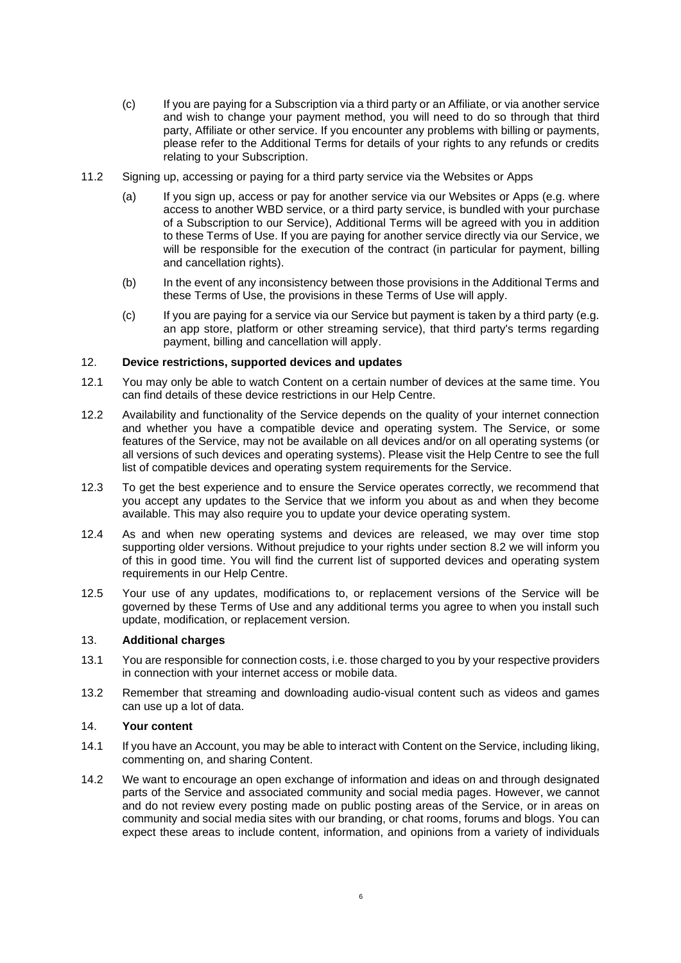- (c) If you are paying for a Subscription via a third party or an Affiliate, or via another service and wish to change your payment method, you will need to do so through that third party, Affiliate or other service. If you encounter any problems with billing or payments, please refer to the Additional Terms for details of your rights to any refunds or credits relating to your Subscription.
- 11.2 Signing up, accessing or paying for a third party service via the Websites or Apps
	- (a) If you sign up, access or pay for another service via our Websites or Apps (e.g. where access to another WBD service, or a third party service, is bundled with your purchase of a Subscription to our Service), Additional Terms will be agreed with you in addition to these Terms of Use. If you are paying for another service directly via our Service, we will be responsible for the execution of the contract (in particular for payment, billing and cancellation rights).
	- (b) In the event of any inconsistency between those provisions in the Additional Terms and these Terms of Use, the provisions in these Terms of Use will apply.
	- (c) If you are paying for a service via our Service but payment is taken by a third party (e.g. an app store, platform or other streaming service), that third party's terms regarding payment, billing and cancellation will apply.

#### 12. **Device restrictions, supported devices and updates**

- 12.1 You may only be able to watch Content on a certain number of devices at the same time. You can find details of these device restrictions in our Help Centre.
- 12.2 Availability and functionality of the Service depends on the quality of your internet connection and whether you have a compatible device and operating system. The Service, or some features of the Service, may not be available on all devices and/or on all operating systems (or all versions of such devices and operating systems). Please visit the Help Centre to see the full list of compatible devices and operating system requirements for the Service.
- 12.3 To get the best experience and to ensure the Service operates correctly, we recommend that you accept any updates to the Service that we inform you about as and when they become available. This may also require you to update your device operating system.
- 12.4 As and when new operating systems and devices are released, we may over time stop supporting older versions. Without prejudice to your rights under section 8.2 we will inform you of this in good time. You will find the current list of supported devices and operating system requirements in our Help Centre.
- 12.5 Your use of any updates, modifications to, or replacement versions of the Service will be governed by these Terms of Use and any additional terms you agree to when you install such update, modification, or replacement version.

### 13. **Additional charges**

- 13.1 You are responsible for connection costs, i.e. those charged to you by your respective providers in connection with your internet access or mobile data.
- 13.2 Remember that streaming and downloading audio-visual content such as videos and games can use up a lot of data.

#### 14. **Your content**

- 14.1 If you have an Account, you may be able to interact with Content on the Service, including liking, commenting on, and sharing Content.
- 14.2 We want to encourage an open exchange of information and ideas on and through designated parts of the Service and associated community and social media pages. However, we cannot and do not review every posting made on public posting areas of the Service, or in areas on community and social media sites with our branding, or chat rooms, forums and blogs. You can expect these areas to include content, information, and opinions from a variety of individuals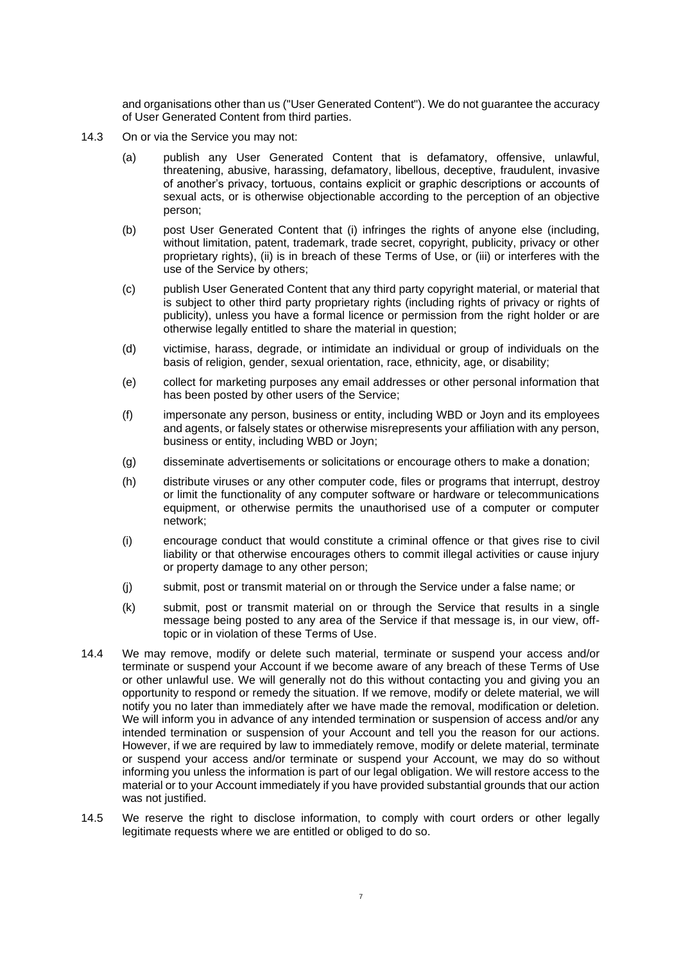and organisations other than us ("User Generated Content"). We do not guarantee the accuracy of User Generated Content from third parties.

- 14.3 On or via the Service you may not:
	- (a) publish any User Generated Content that is defamatory, offensive, unlawful, threatening, abusive, harassing, defamatory, libellous, deceptive, fraudulent, invasive of another's privacy, tortuous, contains explicit or graphic descriptions or accounts of sexual acts, or is otherwise objectionable according to the perception of an objective person;
	- (b) post User Generated Content that (i) infringes the rights of anyone else (including, without limitation, patent, trademark, trade secret, copyright, publicity, privacy or other proprietary rights), (ii) is in breach of these Terms of Use, or (iii) or interferes with the use of the Service by others;
	- (c) publish User Generated Content that any third party copyright material, or material that is subject to other third party proprietary rights (including rights of privacy or rights of publicity), unless you have a formal licence or permission from the right holder or are otherwise legally entitled to share the material in question;
	- (d) victimise, harass, degrade, or intimidate an individual or group of individuals on the basis of religion, gender, sexual orientation, race, ethnicity, age, or disability;
	- (e) collect for marketing purposes any email addresses or other personal information that has been posted by other users of the Service;
	- (f) impersonate any person, business or entity, including WBD or Joyn and its employees and agents, or falsely states or otherwise misrepresents your affiliation with any person, business or entity, including WBD or Joyn;
	- (g) disseminate advertisements or solicitations or encourage others to make a donation;
	- (h) distribute viruses or any other computer code, files or programs that interrupt, destroy or limit the functionality of any computer software or hardware or telecommunications equipment, or otherwise permits the unauthorised use of a computer or computer network;
	- (i) encourage conduct that would constitute a criminal offence or that gives rise to civil liability or that otherwise encourages others to commit illegal activities or cause injury or property damage to any other person;
	- (j) submit, post or transmit material on or through the Service under a false name; or
	- (k) submit, post or transmit material on or through the Service that results in a single message being posted to any area of the Service if that message is, in our view, offtopic or in violation of these Terms of Use.
- 14.4 We may remove, modify or delete such material, terminate or suspend your access and/or terminate or suspend your Account if we become aware of any breach of these Terms of Use or other unlawful use. We will generally not do this without contacting you and giving you an opportunity to respond or remedy the situation. If we remove, modify or delete material, we will notify you no later than immediately after we have made the removal, modification or deletion. We will inform you in advance of any intended termination or suspension of access and/or any intended termination or suspension of your Account and tell you the reason for our actions. However, if we are required by law to immediately remove, modify or delete material, terminate or suspend your access and/or terminate or suspend your Account, we may do so without informing you unless the information is part of our legal obligation. We will restore access to the material or to your Account immediately if you have provided substantial grounds that our action was not justified.
- 14.5 We reserve the right to disclose information, to comply with court orders or other legally legitimate requests where we are entitled or obliged to do so.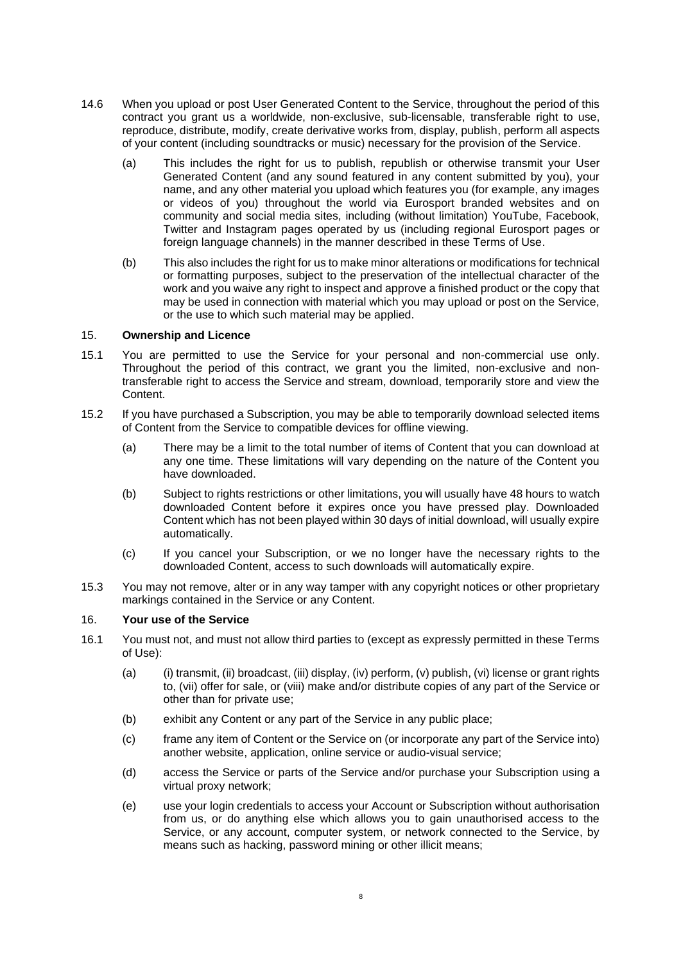- 14.6 When you upload or post User Generated Content to the Service, throughout the period of this contract you grant us a worldwide, non-exclusive, sub-licensable, transferable right to use, reproduce, distribute, modify, create derivative works from, display, publish, perform all aspects of your content (including soundtracks or music) necessary for the provision of the Service.
	- (a) This includes the right for us to publish, republish or otherwise transmit your User Generated Content (and any sound featured in any content submitted by you), your name, and any other material you upload which features you (for example, any images or videos of you) throughout the world via Eurosport branded websites and on community and social media sites, including (without limitation) YouTube, Facebook, Twitter and Instagram pages operated by us (including regional Eurosport pages or foreign language channels) in the manner described in these Terms of Use.
	- (b) This also includes the right for us to make minor alterations or modifications for technical or formatting purposes, subject to the preservation of the intellectual character of the work and you waive any right to inspect and approve a finished product or the copy that may be used in connection with material which you may upload or post on the Service, or the use to which such material may be applied.

## 15. **Ownership and Licence**

- 15.1 You are permitted to use the Service for your personal and non-commercial use only. Throughout the period of this contract, we grant you the limited, non-exclusive and nontransferable right to access the Service and stream, download, temporarily store and view the Content.
- 15.2 If you have purchased a Subscription, you may be able to temporarily download selected items of Content from the Service to compatible devices for offline viewing.
	- (a) There may be a limit to the total number of items of Content that you can download at any one time. These limitations will vary depending on the nature of the Content you have downloaded.
	- (b) Subject to rights restrictions or other limitations, you will usually have 48 hours to watch downloaded Content before it expires once you have pressed play. Downloaded Content which has not been played within 30 days of initial download, will usually expire automatically.
	- (c) If you cancel your Subscription, or we no longer have the necessary rights to the downloaded Content, access to such downloads will automatically expire.
- 15.3 You may not remove, alter or in any way tamper with any copyright notices or other proprietary markings contained in the Service or any Content.

## 16. **Your use of the Service**

- 16.1 You must not, and must not allow third parties to (except as expressly permitted in these Terms of Use):
	- (a) (i) transmit, (ii) broadcast, (iii) display, (iv) perform, (v) publish, (vi) license or grant rights to, (vii) offer for sale, or (viii) make and/or distribute copies of any part of the Service or other than for private use;
	- (b) exhibit any Content or any part of the Service in any public place;
	- (c) frame any item of Content or the Service on (or incorporate any part of the Service into) another website, application, online service or audio-visual service;
	- (d) access the Service or parts of the Service and/or purchase your Subscription using a virtual proxy network;
	- (e) use your login credentials to access your Account or Subscription without authorisation from us, or do anything else which allows you to gain unauthorised access to the Service, or any account, computer system, or network connected to the Service, by means such as hacking, password mining or other illicit means;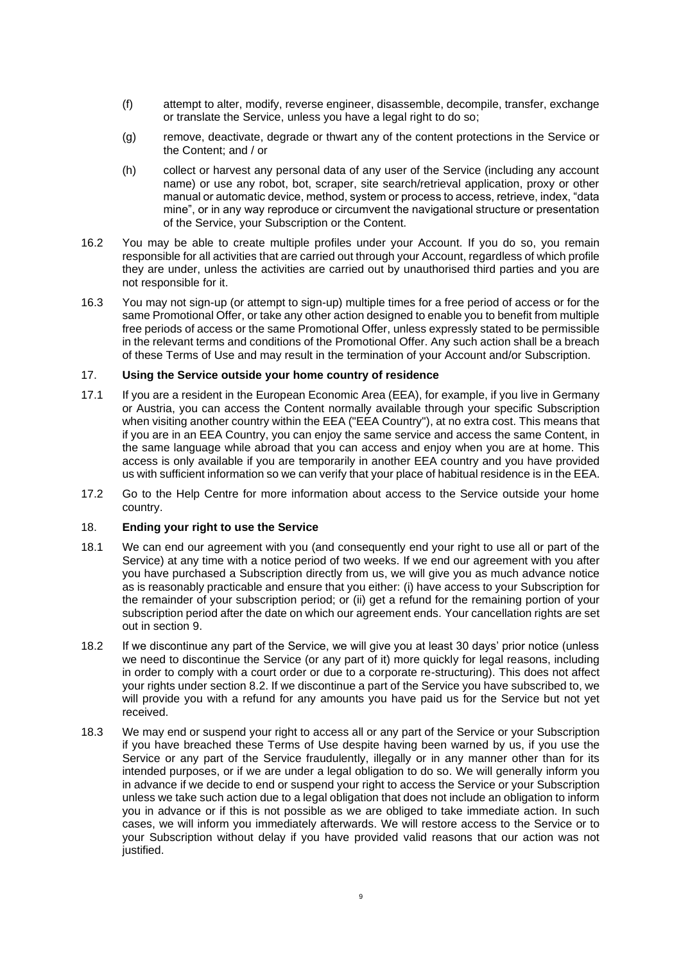- (f) attempt to alter, modify, reverse engineer, disassemble, decompile, transfer, exchange or translate the Service, unless you have a legal right to do so;
- (g) remove, deactivate, degrade or thwart any of the content protections in the Service or the Content; and / or
- (h) collect or harvest any personal data of any user of the Service (including any account name) or use any robot, bot, scraper, site search/retrieval application, proxy or other manual or automatic device, method, system or process to access, retrieve, index, "data mine", or in any way reproduce or circumvent the navigational structure or presentation of the Service, your Subscription or the Content.
- 16.2 You may be able to create multiple profiles under your Account. If you do so, you remain responsible for all activities that are carried out through your Account, regardless of which profile they are under, unless the activities are carried out by unauthorised third parties and you are not responsible for it.
- 16.3 You may not sign-up (or attempt to sign-up) multiple times for a free period of access or for the same Promotional Offer, or take any other action designed to enable you to benefit from multiple free periods of access or the same Promotional Offer, unless expressly stated to be permissible in the relevant terms and conditions of the Promotional Offer. Any such action shall be a breach of these Terms of Use and may result in the termination of your Account and/or Subscription.

## 17. **Using the Service outside your home country of residence**

- 17.1 If you are a resident in the European Economic Area (EEA), for example, if you live in Germany or Austria, you can access the Content normally available through your specific Subscription when visiting another country within the EEA ("EEA Country"), at no extra cost. This means that if you are in an EEA Country, you can enjoy the same service and access the same Content, in the same language while abroad that you can access and enjoy when you are at home. This access is only available if you are temporarily in another EEA country and you have provided us with sufficient information so we can verify that your place of habitual residence is in the EEA.
- 17.2 Go to the Help Centre for more information about access to the Service outside your home country.

#### 18. **Ending your right to use the Service**

- 18.1 We can end our agreement with you (and consequently end your right to use all or part of the Service) at any time with a notice period of two weeks. If we end our agreement with you after you have purchased a Subscription directly from us, we will give you as much advance notice as is reasonably practicable and ensure that you either: (i) have access to your Subscription for the remainder of your subscription period; or (ii) get a refund for the remaining portion of your subscription period after the date on which our agreement ends. Your cancellation rights are set out in section 9.
- 18.2 If we discontinue any part of the Service, we will give you at least 30 days' prior notice (unless we need to discontinue the Service (or any part of it) more quickly for legal reasons, including in order to comply with a court order or due to a corporate re-structuring). This does not affect your rights under section 8.2. If we discontinue a part of the Service you have subscribed to, we will provide you with a refund for any amounts you have paid us for the Service but not yet received.
- 18.3 We may end or suspend your right to access all or any part of the Service or your Subscription if you have breached these Terms of Use despite having been warned by us, if you use the Service or any part of the Service fraudulently, illegally or in any manner other than for its intended purposes, or if we are under a legal obligation to do so. We will generally inform you in advance if we decide to end or suspend your right to access the Service or your Subscription unless we take such action due to a legal obligation that does not include an obligation to inform you in advance or if this is not possible as we are obliged to take immediate action. In such cases, we will inform you immediately afterwards. We will restore access to the Service or to your Subscription without delay if you have provided valid reasons that our action was not justified.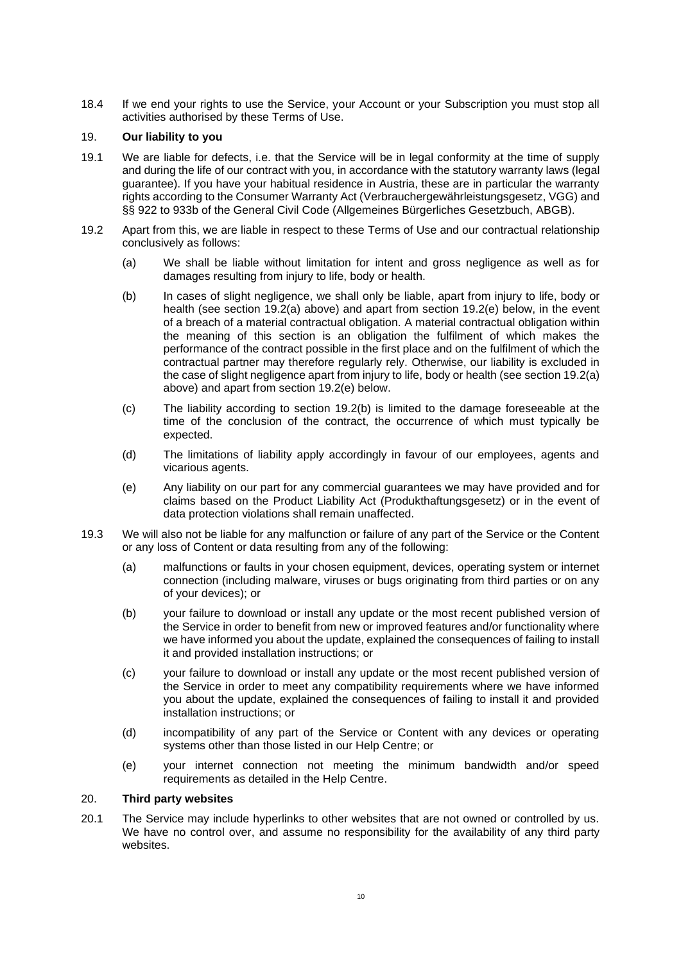18.4 If we end your rights to use the Service, your Account or your Subscription you must stop all activities authorised by these Terms of Use.

## 19. **Our liability to you**

- 19.1 We are liable for defects, i.e. that the Service will be in legal conformity at the time of supply and during the life of our contract with you, in accordance with the statutory warranty laws (legal guarantee). If you have your habitual residence in Austria, these are in particular the warranty rights according to the Consumer Warranty Act (Verbrauchergewährleistungsgesetz, VGG) and §§ 922 to 933b of the General Civil Code (Allgemeines Bürgerliches Gesetzbuch, ABGB).
- 19.2 Apart from this, we are liable in respect to these Terms of Use and our contractual relationship conclusively as follows:
	- (a) We shall be liable without limitation for intent and gross negligence as well as for damages resulting from injury to life, body or health.
	- (b) In cases of slight negligence, we shall only be liable, apart from injury to life, body or health (see section 19.2(a) above) and apart from section 19.2(e) below, in the event of a breach of a material contractual obligation. A material contractual obligation within the meaning of this section is an obligation the fulfilment of which makes the performance of the contract possible in the first place and on the fulfilment of which the contractual partner may therefore regularly rely. Otherwise, our liability is excluded in the case of slight negligence apart from injury to life, body or health (see section 19.2(a) above) and apart from section 19.2(e) below.
	- (c) The liability according to section 19.2(b) is limited to the damage foreseeable at the time of the conclusion of the contract, the occurrence of which must typically be expected.
	- (d) The limitations of liability apply accordingly in favour of our employees, agents and vicarious agents.
	- (e) Any liability on our part for any commercial guarantees we may have provided and for claims based on the Product Liability Act (Produkthaftungsgesetz) or in the event of data protection violations shall remain unaffected.
- 19.3 We will also not be liable for any malfunction or failure of any part of the Service or the Content or any loss of Content or data resulting from any of the following:
	- (a) malfunctions or faults in your chosen equipment, devices, operating system or internet connection (including malware, viruses or bugs originating from third parties or on any of your devices); or
	- (b) your failure to download or install any update or the most recent published version of the Service in order to benefit from new or improved features and/or functionality where we have informed you about the update, explained the consequences of failing to install it and provided installation instructions; or
	- (c) your failure to download or install any update or the most recent published version of the Service in order to meet any compatibility requirements where we have informed you about the update, explained the consequences of failing to install it and provided installation instructions; or
	- (d) incompatibility of any part of the Service or Content with any devices or operating systems other than those listed in our Help Centre; or
	- (e) your internet connection not meeting the minimum bandwidth and/or speed requirements as detailed in the Help Centre.

#### 20. **Third party websites**

20.1 The Service may include hyperlinks to other websites that are not owned or controlled by us. We have no control over, and assume no responsibility for the availability of any third party websites.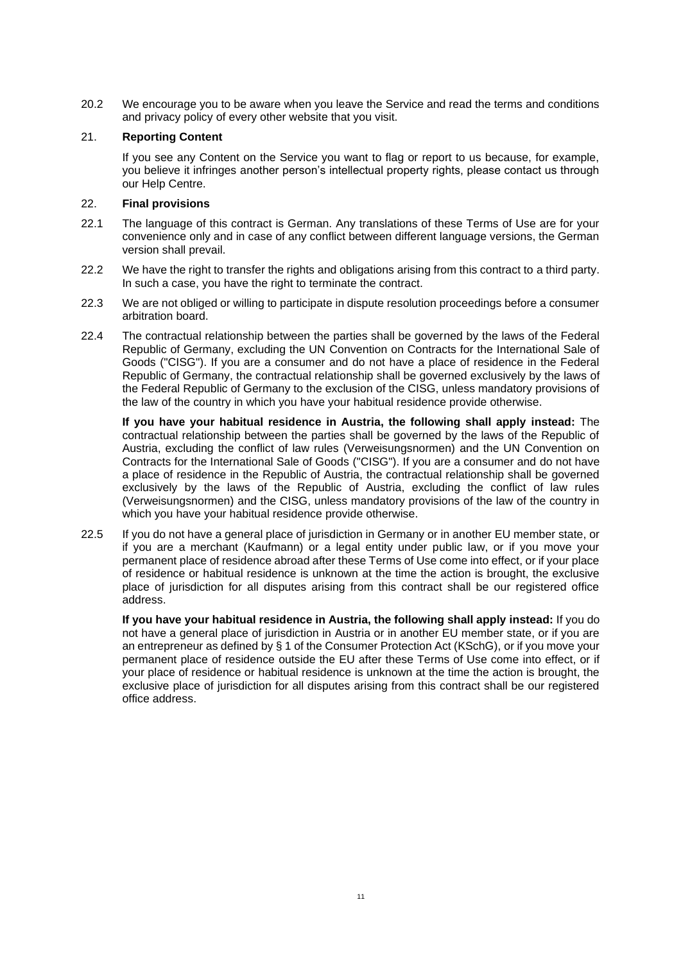20.2 We encourage you to be aware when you leave the Service and read the terms and conditions and privacy policy of every other website that you visit.

## 21. **Reporting Content**

If you see any Content on the Service you want to flag or report to us because, for example, you believe it infringes another person's intellectual property rights, please contact us through our Help Centre.

## 22. **Final provisions**

- 22.1 The language of this contract is German. Any translations of these Terms of Use are for your convenience only and in case of any conflict between different language versions, the German version shall prevail.
- 22.2 We have the right to transfer the rights and obligations arising from this contract to a third party. In such a case, you have the right to terminate the contract.
- 22.3 We are not obliged or willing to participate in dispute resolution proceedings before a consumer arbitration board.
- 22.4 The contractual relationship between the parties shall be governed by the laws of the Federal Republic of Germany, excluding the UN Convention on Contracts for the International Sale of Goods ("CISG"). If you are a consumer and do not have a place of residence in the Federal Republic of Germany, the contractual relationship shall be governed exclusively by the laws of the Federal Republic of Germany to the exclusion of the CISG, unless mandatory provisions of the law of the country in which you have your habitual residence provide otherwise.

**If you have your habitual residence in Austria, the following shall apply instead:** The contractual relationship between the parties shall be governed by the laws of the Republic of Austria, excluding the conflict of law rules (Verweisungsnormen) and the UN Convention on Contracts for the International Sale of Goods ("CISG"). If you are a consumer and do not have a place of residence in the Republic of Austria, the contractual relationship shall be governed exclusively by the laws of the Republic of Austria, excluding the conflict of law rules (Verweisungsnormen) and the CISG, unless mandatory provisions of the law of the country in which you have your habitual residence provide otherwise.

22.5 If you do not have a general place of jurisdiction in Germany or in another EU member state, or if you are a merchant (Kaufmann) or a legal entity under public law, or if you move your permanent place of residence abroad after these Terms of Use come into effect, or if your place of residence or habitual residence is unknown at the time the action is brought, the exclusive place of jurisdiction for all disputes arising from this contract shall be our registered office address.

**If you have your habitual residence in Austria, the following shall apply instead:** If you do not have a general place of jurisdiction in Austria or in another EU member state, or if you are an entrepreneur as defined by § 1 of the Consumer Protection Act (KSchG), or if you move your permanent place of residence outside the EU after these Terms of Use come into effect, or if your place of residence or habitual residence is unknown at the time the action is brought, the exclusive place of jurisdiction for all disputes arising from this contract shall be our registered office address.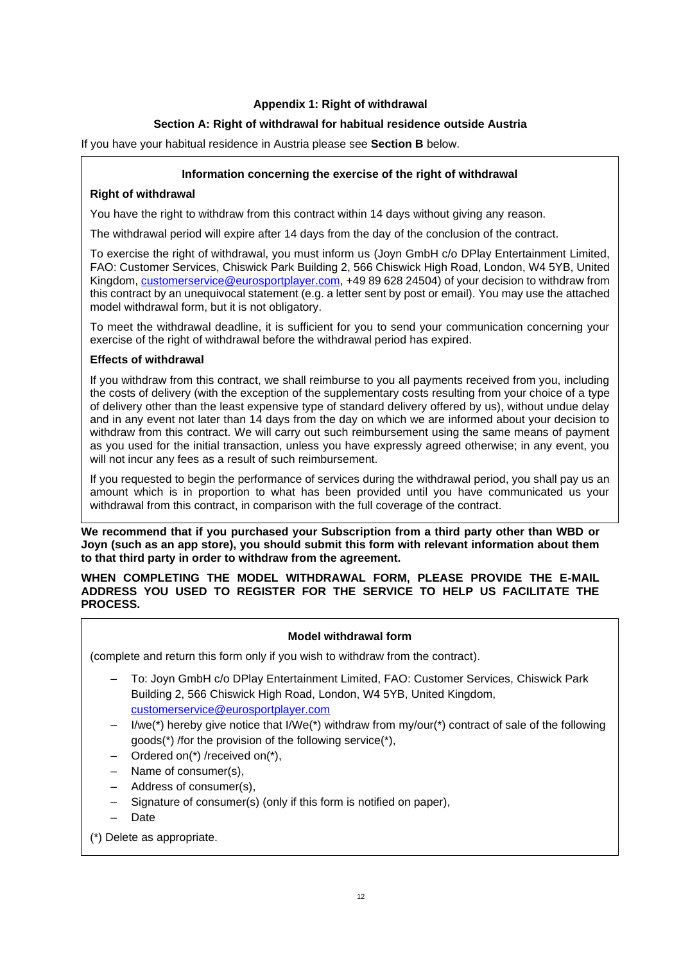# **Appendix 1: Right of withdrawal**

# **Section A: Right of withdrawal for habitual residence outside Austria**

If you have your habitual residence in Austria please see **Section B** below.

## **Information concerning the exercise of the right of withdrawal**

## **Right of withdrawal**

You have the right to withdraw from this contract within 14 days without giving any reason.

The withdrawal period will expire after 14 days from the day of the conclusion of the contract.

To exercise the right of withdrawal, you must inform us (Joyn GmbH c/o DPlay Entertainment Limited, FAO: Customer Services, Chiswick Park Building 2, 566 Chiswick High Road, London, W4 5YB, United Kingdom, [customerservice@eurosportplayer.com,](mailto:customerservice@eurosportplayer.com) +49 89 628 24504) of your decision to withdraw from this contract by an unequivocal statement (e.g. a letter sent by post or email). You may use the attached model withdrawal form, but it is not obligatory.

To meet the withdrawal deadline, it is sufficient for you to send your communication concerning your exercise of the right of withdrawal before the withdrawal period has expired.

# **Effects of withdrawal**

If you withdraw from this contract, we shall reimburse to you all payments received from you, including the costs of delivery (with the exception of the supplementary costs resulting from your choice of a type of delivery other than the least expensive type of standard delivery offered by us), without undue delay and in any event not later than 14 days from the day on which we are informed about your decision to withdraw from this contract. We will carry out such reimbursement using the same means of payment as you used for the initial transaction, unless you have expressly agreed otherwise; in any event, you will not incur any fees as a result of such reimbursement.

If you requested to begin the performance of services during the withdrawal period, you shall pay us an amount which is in proportion to what has been provided until you have communicated us your withdrawal from this contract, in comparison with the full coverage of the contract.

**We recommend that if you purchased your Subscription from a third party other than WBD or Joyn (such as an app store), you should submit this form with relevant information about them to that third party in order to withdraw from the agreement.** 

**WHEN COMPLETING THE MODEL WITHDRAWAL FORM, PLEASE PROVIDE THE E-MAIL ADDRESS YOU USED TO REGISTER FOR THE SERVICE TO HELP US FACILITATE THE PROCESS.**

# **Model withdrawal form**

(complete and return this form only if you wish to withdraw from the contract).

- To: Joyn GmbH c/o DPlay Entertainment Limited, FAO: Customer Services, Chiswick Park Building 2, 566 Chiswick High Road, London, W4 5YB, United Kingdom, [customerservice@eurosportplayer.com](mailto:customerservice@eurosportplayer.com)
- I/we(\*) hereby give notice that I/We(\*) withdraw from  $my/our$  contract of sale of the following goods(\*) /for the provision of the following service(\*),
- Ordered on(\*) /received on(\*),
- Name of consumer(s),
- Address of consumer(s),
- Signature of consumer(s) (only if this form is notified on paper),
- Date
- (\*) Delete as appropriate.